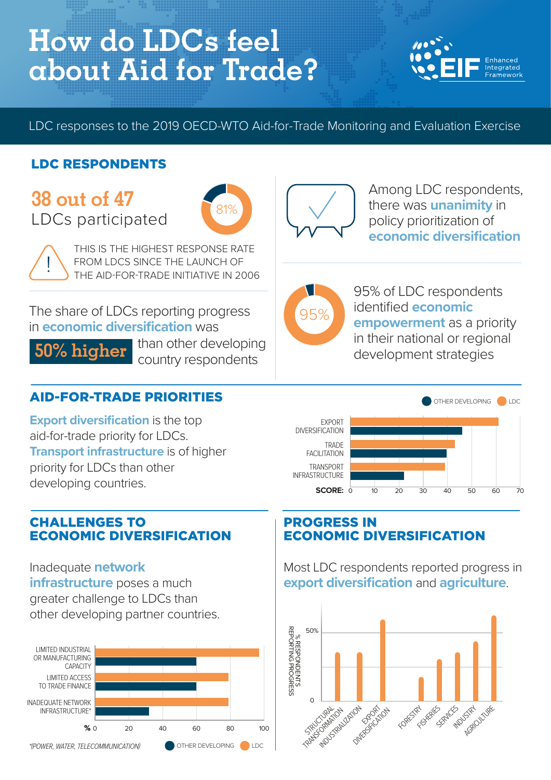# **How do LDCs feel about Aid for Trade?**



LDC responses to the 2019 OECD-WTO Aid-for-Trade Monitoring and Evaluation Exercise

## LDC RESPONDENTS

# **38 out of 47** LDCs participated



THIS IS THE HIGHEST RESPONSE RATE FROM LDCS SINCE THE LAUNCH OF THE AID-FOR-TRADE INITIATIVE IN 2006

The share of LDCs reporting progress in **economic diversification** was

**50% higher** 

I than other developing country respondents

#### AID-FOR-TRADE PRIORITIES

**Export diversification** is the top aid-for-trade priority for LDCs. **Transport infrastructure** is of higher priority for LDCs than other developing countries.

#### CHALLENGES TO ECONOMIC DIVERSIFICATION

Inadequate **network infrastructure** poses a much greater challenge to LDCs than other developing partner countries.





Among LDC respondents, there was **unanimity** in policy prioritization of **economic diversification**



95% of LDC respondents identified **economic empowerment** as a priority in their national or regional development strategies



#### PROGRESS IN ECONOMIC DIVERSIFICATION

Most LDC respondents reported progress in **export diversification** and **agriculture**.